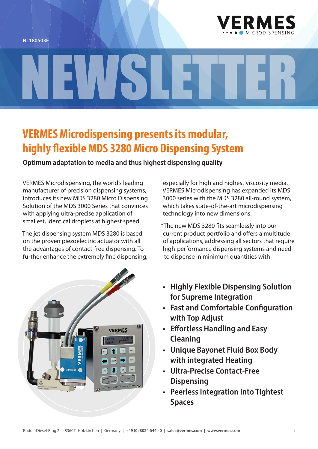



## **VERMES Microdispensing presents its modular, highly flexible MDS 3280 Micro Dispensing System**

NEWSLETTER

## **Optimum adaptation to media and thus highest dispensing quality**

VERMES Microdispensing, the world's leading manufacturer of precision dispensing systems, introduces its new MDS 3280 Micro Dispensing Solution of the MDS 3000 Series that convinces with applying ultra-precise application of smallest, identical droplets at highest speed.

The jet dispensing system MDS 3280 is based on the proven piezoelectric actuator with all the advantages of contact-free dispensing. To further enhance the extremely fine dispensing,



especially for high and highest viscosity media, VERMES Microdispensing has expanded its MDS 3000 series with the MDS 3280 all-round system, which takes state-of-the-art microdispensing technology into new dimensions.

"The new MDS 3280 fits seamlessly into our current product portfolio and offers a multitude of applications, addressing all sectors that require high-performance dispensing systems and need to dispense in minimum quantities with

- **• Highly Flexible Dispensing Solution for Supreme Integration**
- **• Fast and Comfortable Configuration with Top Adjust**
- **• Effortless Handling and Easy Cleaning**
- **• Unique Bayonet Fluid Box Body with integrated Heating**
- **• Ultra-Precise Contact-Free Dispensing**
- **• Peerless Integration into Tightest Spaces**